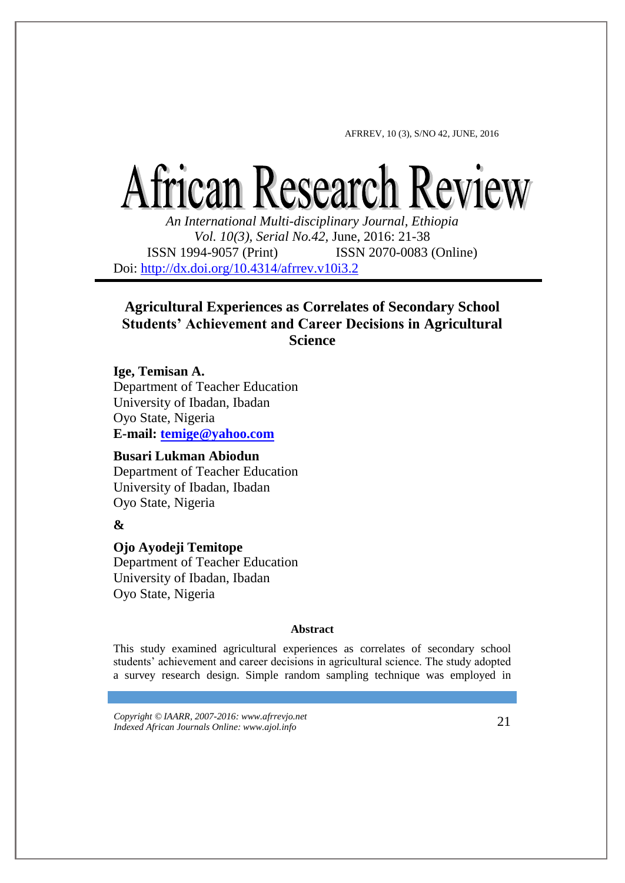# **African Research Review**

*An International Multi-disciplinary Journal, Ethiopia Vol. 10(3), Serial No.42,* June, 2016: 21-38 ISSN 1994-9057 (Print) ISSN 2070-0083 (Online) Doi:<http://dx.doi.org/10.4314/afrrev.v10i3.2>

# **Agricultural Experiences as Correlates of Secondary School Students' Achievement and Career Decisions in Agricultural Science**

**Ige, Temisan A.** Department of Teacher Education University of Ibadan, Ibadan Oyo State, Nigeria **E-mail: [temige@yahoo.com](mailto:temige@yahoo.com)**

# **Busari Lukman Abiodun**

Department of Teacher Education University of Ibadan, Ibadan Oyo State, Nigeria

**&**

# **Ojo Ayodeji Temitope**

Department of Teacher Education University of Ibadan, Ibadan Oyo State, Nigeria

# **Abstract**

This study examined agricultural experiences as correlates of secondary school students' achievement and career decisions in agricultural science. The study adopted a survey research design. Simple random sampling technique was employed in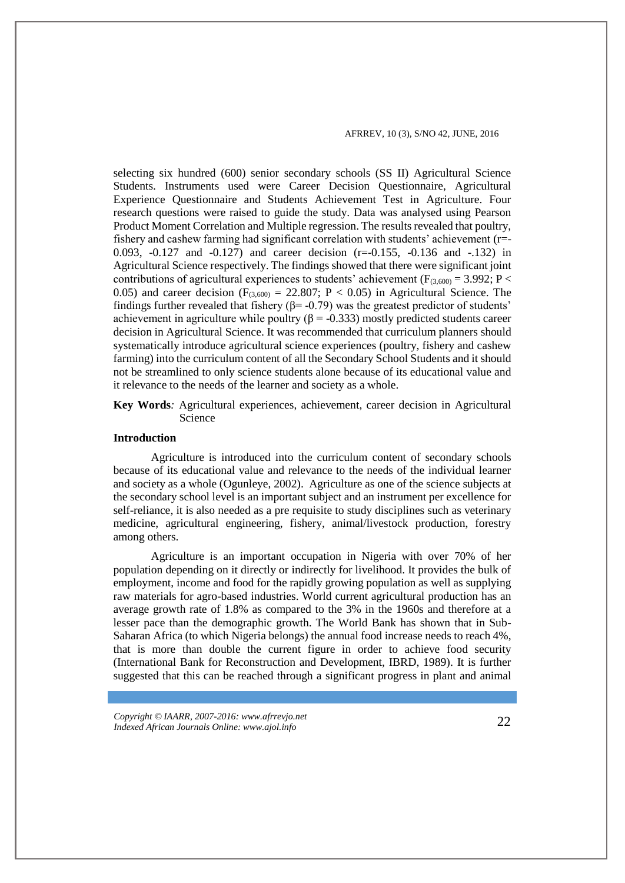selecting six hundred (600) senior secondary schools (SS II) Agricultural Science Students. Instruments used were Career Decision Questionnaire, Agricultural Experience Questionnaire and Students Achievement Test in Agriculture. Four research questions were raised to guide the study. Data was analysed using Pearson Product Moment Correlation and Multiple regression. The results revealed that poultry, fishery and cashew farming had significant correlation with students' achievement (r=- 0.093, -0.127 and -0.127) and career decision (r=-0.155, -0.136 and -.132) in Agricultural Science respectively. The findings showed that there were significant joint contributions of agricultural experiences to students' achievement ( $F_{(3,600)} = 3.992$ ; P < 0.05) and career decision ( $F_{(3,600)} = 22.807$ ; P < 0.05) in Agricultural Science. The findings further revealed that fishery  $(β = -0.79)$  was the greatest predictor of students' achievement in agriculture while poultry ( $\beta$  = -0.333) mostly predicted students career decision in Agricultural Science. It was recommended that curriculum planners should systematically introduce agricultural science experiences (poultry, fishery and cashew farming) into the curriculum content of all the Secondary School Students and it should not be streamlined to only science students alone because of its educational value and it relevance to the needs of the learner and society as a whole.

**Key Words***:* Agricultural experiences, achievement, career decision in Agricultural Science

# **Introduction**

Agriculture is introduced into the curriculum content of secondary schools because of its educational value and relevance to the needs of the individual learner and society as a whole (Ogunleye, 2002). Agriculture as one of the science subjects at the secondary school level is an important subject and an instrument per excellence for self-reliance, it is also needed as a pre requisite to study disciplines such as veterinary medicine, agricultural engineering, fishery, animal/livestock production, forestry among others.

Agriculture is an important occupation in Nigeria with over 70% of her population depending on it directly or indirectly for livelihood. It provides the bulk of employment, income and food for the rapidly growing population as well as supplying raw materials for agro-based industries. World current agricultural production has an average growth rate of 1.8% as compared to the 3% in the 1960s and therefore at a lesser pace than the demographic growth. The World Bank has shown that in Sub-Saharan Africa (to which Nigeria belongs) the annual food increase needs to reach 4%, that is more than double the current figure in order to achieve food security (International Bank for Reconstruction and Development, IBRD, 1989). It is further suggested that this can be reached through a significant progress in plant and animal

*Copyright © IAARR, 2007-2016: www.afrrevjo.net Indexed African Journals Online: www.ajol.info* 22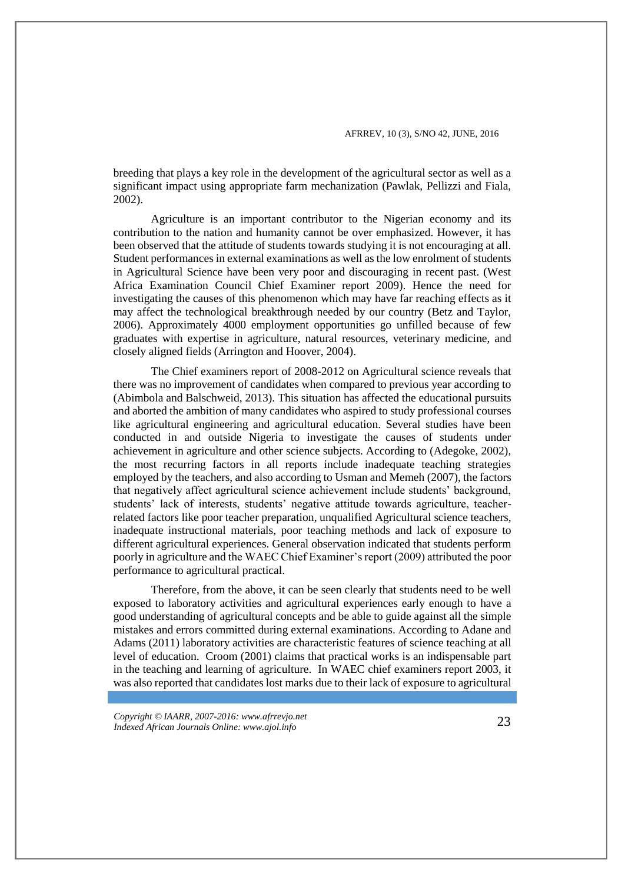breeding that plays a key role in the development of the agricultural sector as well as a significant impact using appropriate farm mechanization (Pawlak, Pellizzi and Fiala, 2002).

Agriculture is an important contributor to the Nigerian economy and its contribution to the nation and humanity cannot be over emphasized. However, it has been observed that the attitude of students towards studying it is not encouraging at all. Student performances in external examinations as well as the low enrolment of students in Agricultural Science have been very poor and discouraging in recent past. (West Africa Examination Council Chief Examiner report 2009). Hence the need for investigating the causes of this phenomenon which may have far reaching effects as it may affect the technological breakthrough needed by our country (Betz and Taylor, 2006). Approximately 4000 employment opportunities go unfilled because of few graduates with expertise in agriculture, natural resources, veterinary medicine, and closely aligned fields (Arrington and Hoover, 2004).

The Chief examiners report of 2008-2012 on Agricultural science reveals that there was no improvement of candidates when compared to previous year according to (Abimbola and Balschweid, 2013). This situation has affected the educational pursuits and aborted the ambition of many candidates who aspired to study professional courses like agricultural engineering and agricultural education. Several studies have been conducted in and outside Nigeria to investigate the causes of students under achievement in agriculture and other science subjects. According to (Adegoke, 2002), the most recurring factors in all reports include inadequate teaching strategies employed by the teachers, and also according to Usman and Memeh (2007), the factors that negatively affect agricultural science achievement include students' background, students' lack of interests, students' negative attitude towards agriculture, teacherrelated factors like poor teacher preparation, unqualified Agricultural science teachers, inadequate instructional materials, poor teaching methods and lack of exposure to different agricultural experiences. General observation indicated that students perform poorly in agriculture and the WAEC Chief Examiner's report (2009) attributed the poor performance to agricultural practical.

Therefore, from the above, it can be seen clearly that students need to be well exposed to laboratory activities and agricultural experiences early enough to have a good understanding of agricultural concepts and be able to guide against all the simple mistakes and errors committed during external examinations. According to Adane and Adams (2011) laboratory activities are characteristic features of science teaching at all level of education. Croom (2001) claims that practical works is an indispensable part in the teaching and learning of agriculture. In WAEC chief examiners report 2003, it was also reported that candidates lost marks due to their lack of exposure to agricultural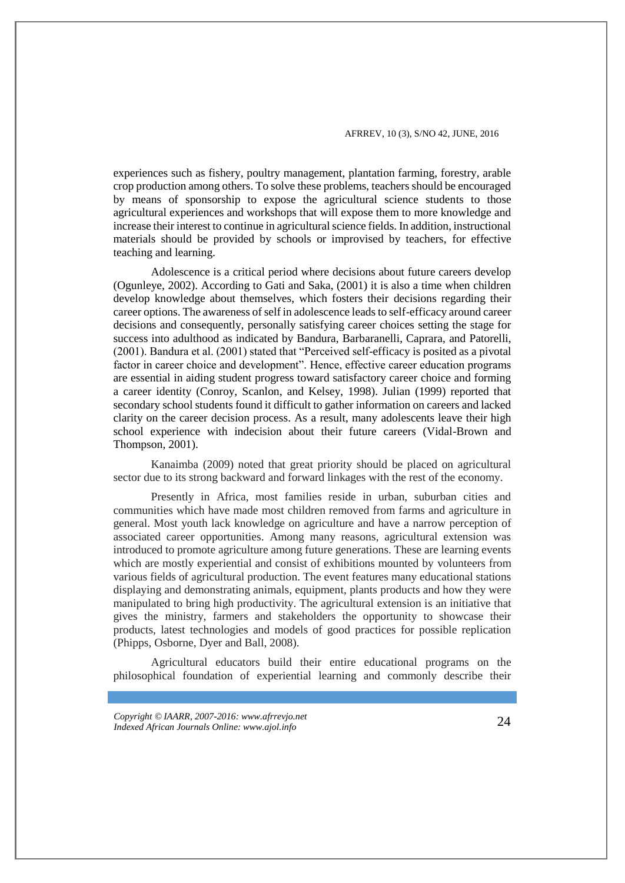experiences such as fishery, poultry management, plantation farming, forestry, arable crop production among others. To solve these problems, teachers should be encouraged by means of sponsorship to expose the agricultural science students to those agricultural experiences and workshops that will expose them to more knowledge and increase their interest to continue in agricultural science fields. In addition, instructional materials should be provided by schools or improvised by teachers, for effective teaching and learning.

Adolescence is a critical period where decisions about future careers develop (Ogunleye, 2002). According to Gati and Saka, (2001) it is also a time when children develop knowledge about themselves, which fosters their decisions regarding their career options. The awareness of self in adolescence leads to self-efficacy around career decisions and consequently, personally satisfying career choices setting the stage for success into adulthood as indicated by Bandura, Barbaranelli, Caprara, and Patorelli, (2001). Bandura et al. (2001) stated that "Perceived self-efficacy is posited as a pivotal factor in career choice and development". Hence, effective career education programs are essential in aiding student progress toward satisfactory career choice and forming a career identity (Conroy, Scanlon, and Kelsey, 1998). Julian (1999) reported that secondary school students found it difficult to gather information on careers and lacked clarity on the career decision process. As a result, many adolescents leave their high school experience with indecision about their future careers (Vidal-Brown and Thompson, 2001).

Kanaimba (2009) noted that great priority should be placed on agricultural sector due to its strong backward and forward linkages with the rest of the economy.

Presently in Africa, most families reside in urban, suburban cities and communities which have made most children removed from farms and agriculture in general. Most youth lack knowledge on agriculture and have a narrow perception of associated career opportunities. Among many reasons, agricultural extension was introduced to promote agriculture among future generations. These are learning events which are mostly experiential and consist of exhibitions mounted by volunteers from various fields of agricultural production. The event features many educational stations displaying and demonstrating animals, equipment, plants products and how they were manipulated to bring high productivity. The agricultural extension is an initiative that gives the ministry, farmers and stakeholders the opportunity to showcase their products, latest technologies and models of good practices for possible replication (Phipps, Osborne, Dyer and Ball, 2008).

Agricultural educators build their entire educational programs on the philosophical foundation of experiential learning and commonly describe their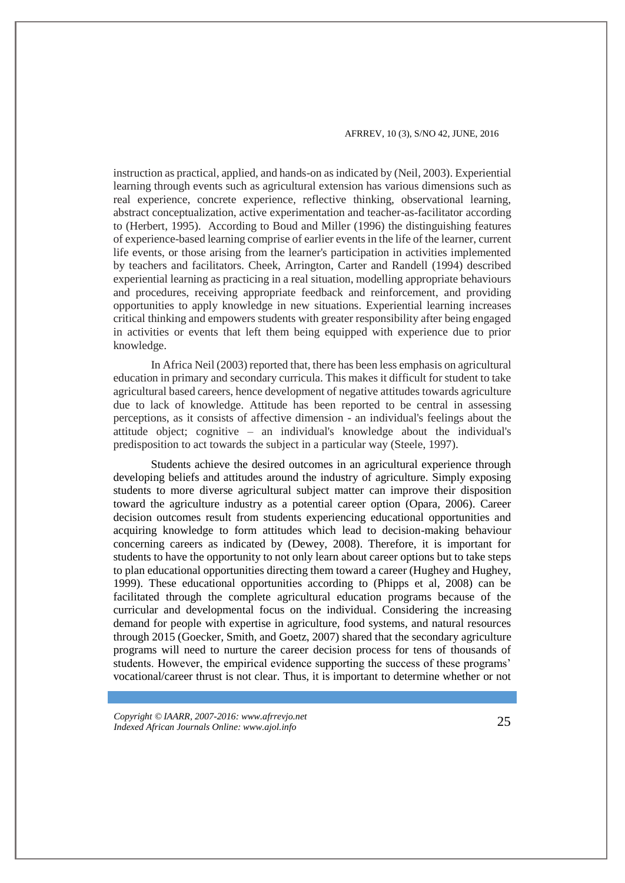instruction as practical, applied, and hands-on as indicated by (Neil, 2003). Experiential learning through events such as agricultural extension has various dimensions such as real experience, concrete experience, reflective thinking, observational learning, abstract conceptualization, active experimentation and teacher-as-facilitator according to (Herbert, 1995). According to Boud and Miller (1996) the distinguishing features of experience-based learning comprise of earlier events in the life of the learner, current life events, or those arising from the learner's participation in activities implemented by teachers and facilitators. Cheek, Arrington, Carter and Randell (1994) described experiential learning as practicing in a real situation, modelling appropriate behaviours and procedures, receiving appropriate feedback and reinforcement, and providing opportunities to apply knowledge in new situations. Experiential learning increases critical thinking and empowers students with greater responsibility after being engaged in activities or events that left them being equipped with experience due to prior knowledge.

In Africa Neil (2003) reported that, there has been less emphasis on agricultural education in primary and secondary curricula. This makes it difficult for student to take agricultural based careers, hence development of negative attitudes towards agriculture due to lack of knowledge. Attitude has been reported to be central in assessing perceptions, as it consists of affective dimension - an individual's feelings about the attitude object; cognitive – an individual's knowledge about the individual's predisposition to act towards the subject in a particular way (Steele, 1997).

Students achieve the desired outcomes in an agricultural experience through developing beliefs and attitudes around the industry of agriculture. Simply exposing students to more diverse agricultural subject matter can improve their disposition toward the agriculture industry as a potential career option (Opara, 2006). Career decision outcomes result from students experiencing educational opportunities and acquiring knowledge to form attitudes which lead to decision-making behaviour concerning careers as indicated by (Dewey, 2008). Therefore, it is important for students to have the opportunity to not only learn about career options but to take steps to plan educational opportunities directing them toward a career (Hughey and Hughey, 1999). These educational opportunities according to (Phipps et al, 2008) can be facilitated through the complete agricultural education programs because of the curricular and developmental focus on the individual. Considering the increasing demand for people with expertise in agriculture, food systems, and natural resources through 2015 (Goecker, Smith, and Goetz, 2007) shared that the secondary agriculture programs will need to nurture the career decision process for tens of thousands of students. However, the empirical evidence supporting the success of these programs' vocational/career thrust is not clear. Thus, it is important to determine whether or not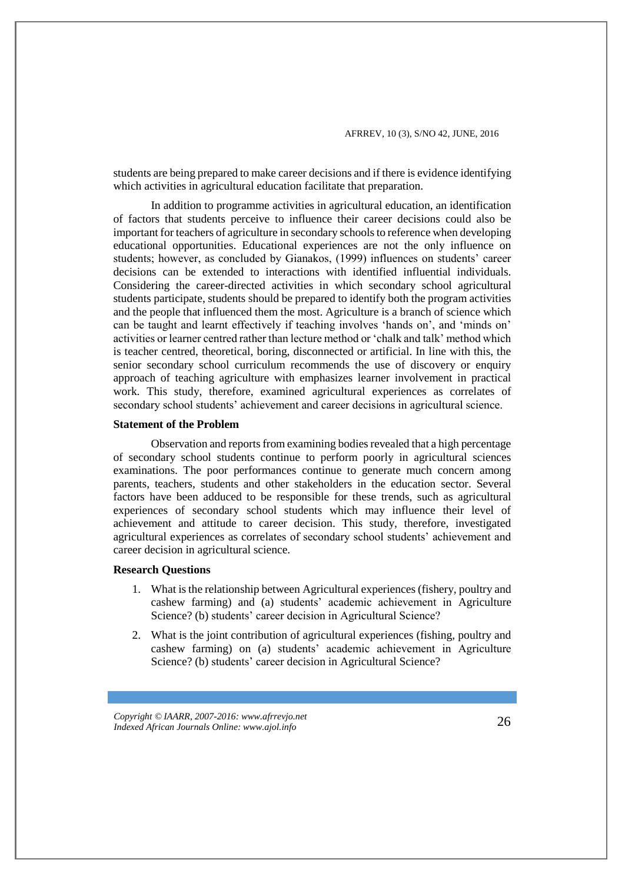students are being prepared to make career decisions and if there is evidence identifying which activities in agricultural education facilitate that preparation.

In addition to programme activities in agricultural education, an identification of factors that students perceive to influence their career decisions could also be important for teachers of agriculture in secondary schools to reference when developing educational opportunities. Educational experiences are not the only influence on students; however, as concluded by Gianakos, (1999) influences on students' career decisions can be extended to interactions with identified influential individuals. Considering the career-directed activities in which secondary school agricultural students participate, students should be prepared to identify both the program activities and the people that influenced them the most. Agriculture is a branch of science which can be taught and learnt effectively if teaching involves 'hands on', and 'minds on' activities or learner centred rather than lecture method or 'chalk and talk' method which is teacher centred, theoretical, boring, disconnected or artificial. In line with this, the senior secondary school curriculum recommends the use of discovery or enquiry approach of teaching agriculture with emphasizes learner involvement in practical work. This study, therefore, examined agricultural experiences as correlates of secondary school students' achievement and career decisions in agricultural science.

#### **Statement of the Problem**

Observation and reports from examining bodies revealed that a high percentage of secondary school students continue to perform poorly in agricultural sciences examinations. The poor performances continue to generate much concern among parents, teachers, students and other stakeholders in the education sector. Several factors have been adduced to be responsible for these trends, such as agricultural experiences of secondary school students which may influence their level of achievement and attitude to career decision. This study, therefore, investigated agricultural experiences as correlates of secondary school students' achievement and career decision in agricultural science.

#### **Research Questions**

- 1. What is the relationship between Agricultural experiences (fishery, poultry and cashew farming) and (a) students' academic achievement in Agriculture Science? (b) students' career decision in Agricultural Science?
- 2. What is the joint contribution of agricultural experiences (fishing, poultry and cashew farming) on (a) students' academic achievement in Agriculture Science? (b) students' career decision in Agricultural Science?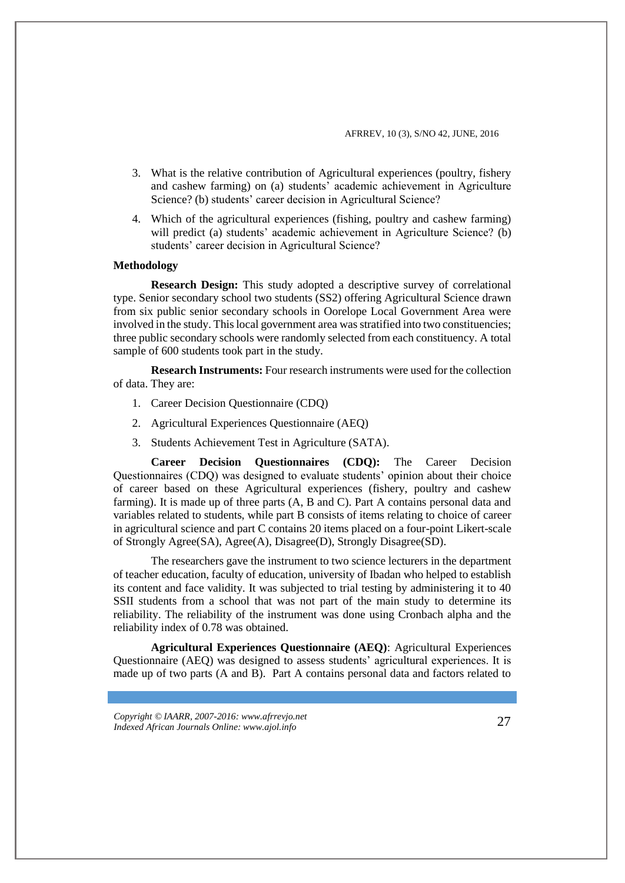- 3. What is the relative contribution of Agricultural experiences (poultry, fishery and cashew farming) on (a) students' academic achievement in Agriculture Science? (b) students' career decision in Agricultural Science?
- 4. Which of the agricultural experiences (fishing, poultry and cashew farming) will predict (a) students' academic achievement in Agriculture Science? (b) students' career decision in Agricultural Science?

# **Methodology**

**Research Design:** This study adopted a descriptive survey of correlational type. Senior secondary school two students (SS2) offering Agricultural Science drawn from six public senior secondary schools in Oorelope Local Government Area were involved in the study. This local government area was stratified into two constituencies; three public secondary schools were randomly selected from each constituency. A total sample of 600 students took part in the study.

**Research Instruments:** Four research instruments were used for the collection of data. They are:

- 1. Career Decision Questionnaire (CDQ)
- 2. Agricultural Experiences Questionnaire (AEQ)
- 3. Students Achievement Test in Agriculture (SATA).

**Career Decision Questionnaires (CDQ):** The Career Decision Questionnaires (CDQ) was designed to evaluate students' opinion about their choice of career based on these Agricultural experiences (fishery, poultry and cashew farming). It is made up of three parts (A, B and C). Part A contains personal data and variables related to students, while part B consists of items relating to choice of career in agricultural science and part C contains 20 items placed on a four-point Likert-scale of Strongly Agree(SA), Agree(A), Disagree(D), Strongly Disagree(SD).

The researchers gave the instrument to two science lecturers in the department of teacher education, faculty of education, university of Ibadan who helped to establish its content and face validity. It was subjected to trial testing by administering it to 40 SSII students from a school that was not part of the main study to determine its reliability. The reliability of the instrument was done using Cronbach alpha and the reliability index of 0.78 was obtained.

**Agricultural Experiences Questionnaire (AEQ)**: Agricultural Experiences Questionnaire (AEQ) was designed to assess students' agricultural experiences. It is made up of two parts (A and B). Part A contains personal data and factors related to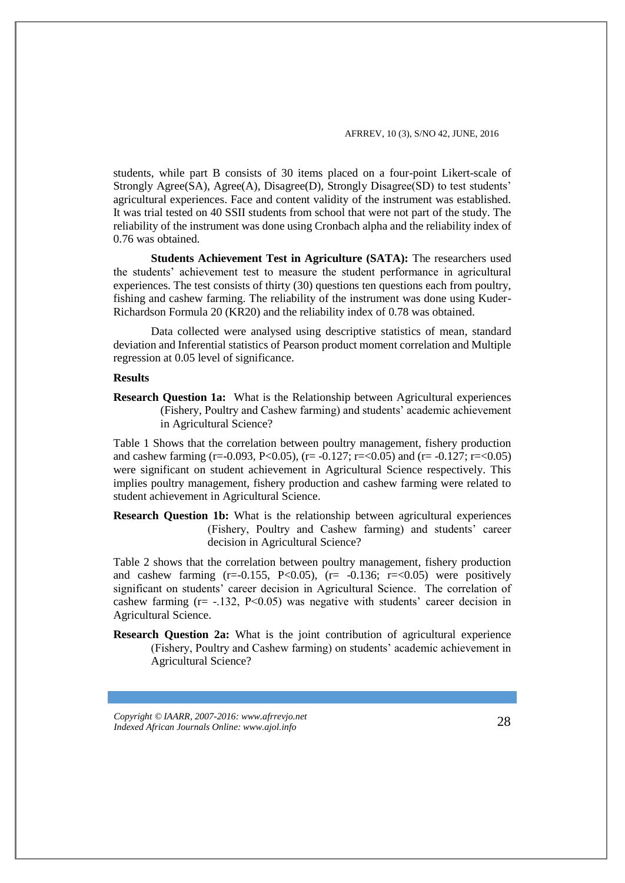students, while part B consists of 30 items placed on a four-point Likert-scale of Strongly Agree(SA), Agree(A), Disagree(D), Strongly Disagree(SD) to test students' agricultural experiences. Face and content validity of the instrument was established. It was trial tested on 40 SSII students from school that were not part of the study. The reliability of the instrument was done using Cronbach alpha and the reliability index of 0.76 was obtained.

**Students Achievement Test in Agriculture (SATA):** The researchers used the students' achievement test to measure the student performance in agricultural experiences. The test consists of thirty (30) questions ten questions each from poultry, fishing and cashew farming. The reliability of the instrument was done using Kuder-Richardson Formula 20 (KR20) and the reliability index of 0.78 was obtained.

Data collected were analysed using descriptive statistics of mean, standard deviation and Inferential statistics of Pearson product moment correlation and Multiple regression at 0.05 level of significance.

# **Results**

**Research Question 1a:** What is the Relationship between Agricultural experiences (Fishery, Poultry and Cashew farming) and students' academic achievement in Agricultural Science?

Table 1 Shows that the correlation between poultry management, fishery production and cashew farming (r=-0.093, P<0.05), (r= -0.127; r=<0.05) and (r= -0.127; r=<0.05) were significant on student achievement in Agricultural Science respectively. This implies poultry management, fishery production and cashew farming were related to student achievement in Agricultural Science.

**Research Question 1b:** What is the relationship between agricultural experiences (Fishery, Poultry and Cashew farming) and students' career decision in Agricultural Science?

Table 2 shows that the correlation between poultry management, fishery production and cashew farming  $(r=0.155, P<0.05)$ ,  $(r=-0.136; r=<0.05)$  were positively significant on students' career decision in Agricultural Science. The correlation of cashew farming  $(r= -.132, P<0.05)$  was negative with students' career decision in Agricultural Science.

**Research Question 2a:** What is the joint contribution of agricultural experience (Fishery, Poultry and Cashew farming) on students' academic achievement in Agricultural Science?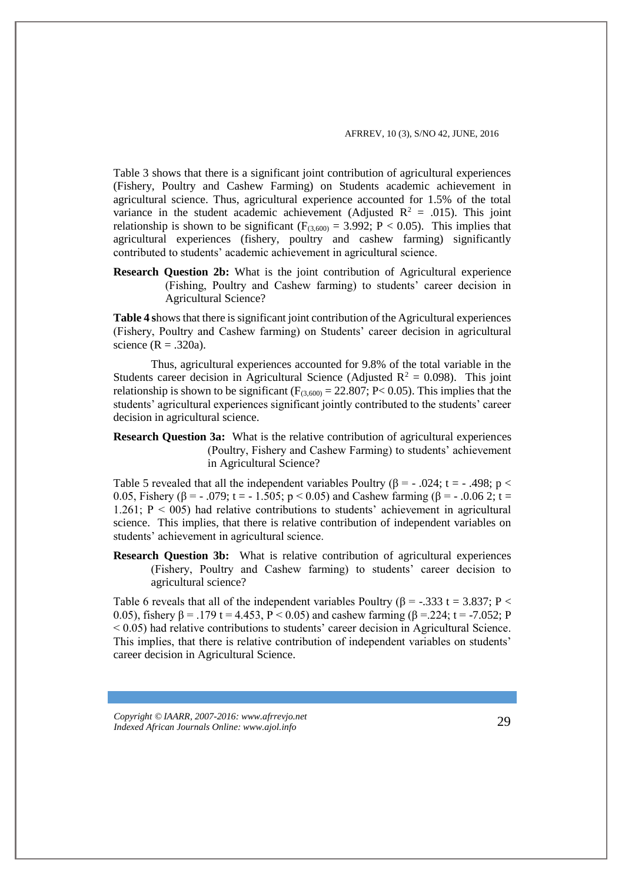Table 3 shows that there is a significant joint contribution of agricultural experiences (Fishery, Poultry and Cashew Farming) on Students academic achievement in agricultural science. Thus, agricultural experience accounted for 1.5% of the total variance in the student academic achievement (Adjusted  $R^2 = .015$ ). This joint relationship is shown to be significant  $(F_{(3,600)} = 3.992; P < 0.05)$ . This implies that agricultural experiences (fishery, poultry and cashew farming) significantly contributed to students' academic achievement in agricultural science.

**Research Question 2b:** What is the joint contribution of Agricultural experience (Fishing, Poultry and Cashew farming) to students' career decision in Agricultural Science?

**Table 4 s**hows that there is significant joint contribution of the Agricultural experiences (Fishery, Poultry and Cashew farming) on Students' career decision in agricultural science  $(R = .320a)$ .

Thus, agricultural experiences accounted for 9.8% of the total variable in the Students career decision in Agricultural Science (Adjusted  $R^2 = 0.098$ ). This joint relationship is shown to be significant ( $F_{(3,600)} = 22.807$ ; P< 0.05). This implies that the students' agricultural experiences significant jointly contributed to the students' career decision in agricultural science.

**Research Question 3a:** What is the relative contribution of agricultural experiences (Poultry, Fishery and Cashew Farming) to students' achievement in Agricultural Science?

Table 5 revealed that all the independent variables Poultry ( $\beta$  = -.024; t = -.498; p < 0.05, Fishery (β = - .079; t = - 1.505; p < 0.05) and Cashew farming (β = - .0.06 2; t = 1.261;  $P < 005$ ) had relative contributions to students' achievement in agricultural science. This implies, that there is relative contribution of independent variables on students' achievement in agricultural science.

**Research Question 3b:** What is relative contribution of agricultural experiences (Fishery, Poultry and Cashew farming) to students' career decision to agricultural science?

Table 6 reveals that all of the independent variables Poultry ( $\beta$  = -.333 t = 3.837; P < 0.05), fishery  $\beta = .179$  t = 4.453, P < 0.05) and cashew farming  $(\beta = .224; t = -7.052; P$ < 0.05) had relative contributions to students' career decision in Agricultural Science. This implies, that there is relative contribution of independent variables on students' career decision in Agricultural Science.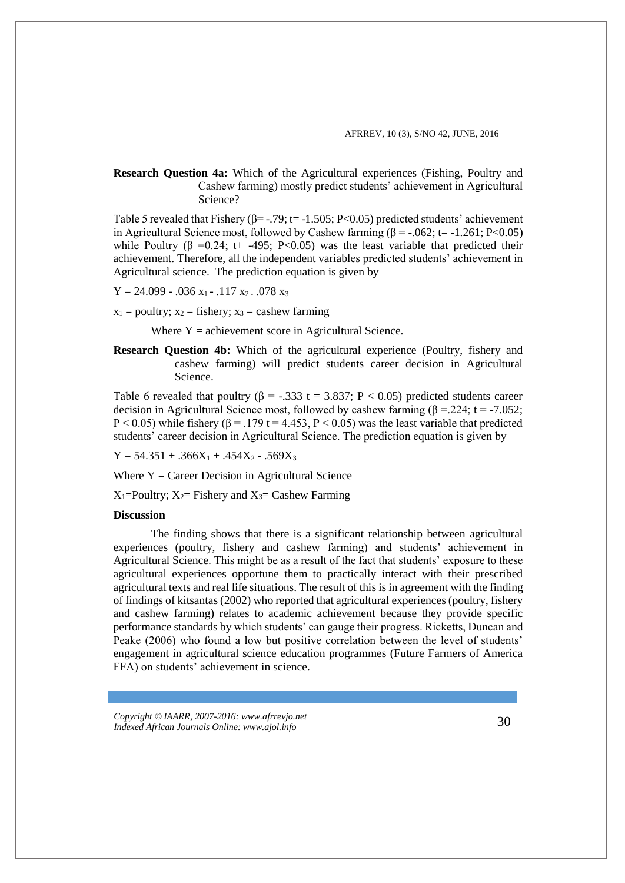# **Research Question 4a:** Which of the Agricultural experiences (Fishing, Poultry and Cashew farming) mostly predict students' achievement in Agricultural Science?

Table 5 revealed that Fishery ( $\beta$ = -.79; t= -1.505; P<0.05) predicted students' achievement in Agricultural Science most, followed by Cashew farming  $(\beta = -0.062; t = -1.261; P < 0.05)$ while Poultry ( $\beta = 0.24$ ; t+ -495; P<0.05) was the least variable that predicted their achievement. Therefore, all the independent variables predicted students' achievement in Agricultural science. The prediction equation is given by

 $Y = 24.099 - .036 x_1 - .117 x_2 - .078 x_3$ 

 $x_1$  = poultry;  $x_2$  = fishery;  $x_3$  = cashew farming

Where  $Y =$  achievement score in Agricultural Science.

**Research Question 4b:** Which of the agricultural experience (Poultry, fishery and cashew farming) will predict students career decision in Agricultural Science.

Table 6 revealed that poultry  $(β = -0.333 t = 3.837; P < 0.05)$  predicted students career decision in Agricultural Science most, followed by cashew farming  $(\beta = 224; t = -7.052;$ P < 0.05) while fishery ( $\beta$  = .179 t = 4.453, P < 0.05) was the least variable that predicted students' career decision in Agricultural Science. The prediction equation is given by

 $Y = 54.351 + .366X_1 + .454X_2 - .569X_3$ 

Where  $Y =$  Career Decision in Agricultural Science

 $X_1$ =Poultry;  $X_2$ = Fishery and  $X_3$ = Cashew Farming

#### **Discussion**

The finding shows that there is a significant relationship between agricultural experiences (poultry, fishery and cashew farming) and students' achievement in Agricultural Science. This might be as a result of the fact that students' exposure to these agricultural experiences opportune them to practically interact with their prescribed agricultural texts and real life situations. The result of this is in agreement with the finding of findings of kitsantas (2002) who reported that agricultural experiences (poultry, fishery and cashew farming) relates to academic achievement because they provide specific performance standards by which students' can gauge their progress. Ricketts, Duncan and Peake (2006) who found a low but positive correlation between the level of students' engagement in agricultural science education programmes (Future Farmers of America FFA) on students' achievement in science.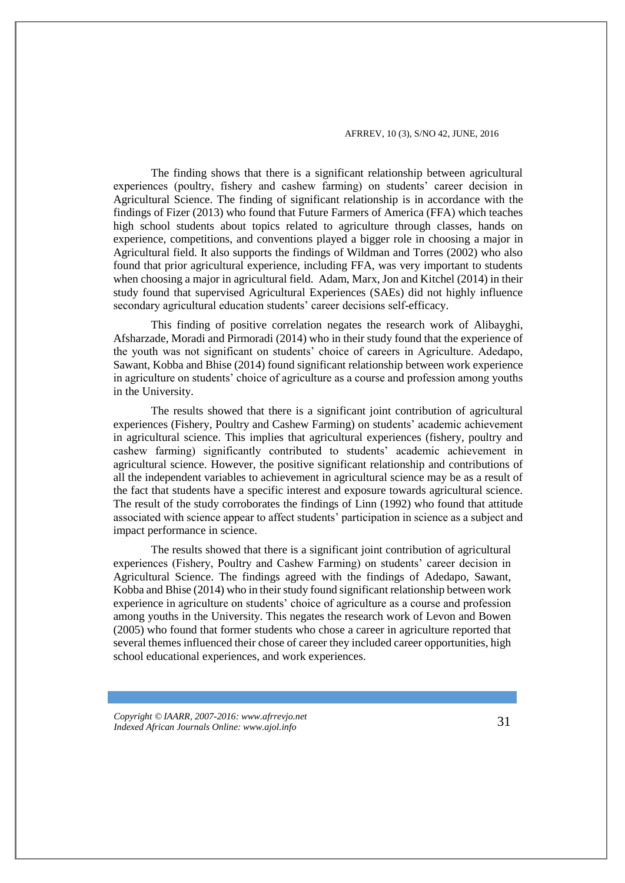The finding shows that there is a significant relationship between agricultural experiences (poultry, fishery and cashew farming) on students' career decision in Agricultural Science. The finding of significant relationship is in accordance with the findings of Fizer (2013) who found that Future Farmers of America (FFA) which teaches high school students about topics related to agriculture through classes, hands on experience, competitions, and conventions played a bigger role in choosing a major in Agricultural field. It also supports the findings of Wildman and Torres (2002) who also found that prior agricultural experience, including FFA, was very important to students when choosing a major in agricultural field. Adam, Marx, Jon and Kitchel (2014) in their study found that supervised Agricultural Experiences (SAEs) did not highly influence secondary agricultural education students' career decisions self-efficacy.

This finding of positive correlation negates the research work of Alibayghi, Afsharzade, Moradi and Pirmoradi (2014) who in their study found that the experience of the youth was not significant on students' choice of careers in Agriculture. Adedapo, Sawant, Kobba and Bhise (2014) found significant relationship between work experience in agriculture on students' choice of agriculture as a course and profession among youths in the University.

The results showed that there is a significant joint contribution of agricultural experiences (Fishery, Poultry and Cashew Farming) on students' academic achievement in agricultural science. This implies that agricultural experiences (fishery, poultry and cashew farming) significantly contributed to students' academic achievement in agricultural science. However, the positive significant relationship and contributions of all the independent variables to achievement in agricultural science may be as a result of the fact that students have a specific interest and exposure towards agricultural science. The result of the study corroborates the findings of Linn (1992) who found that attitude associated with science appear to affect students' participation in science as a subject and impact performance in science.

The results showed that there is a significant joint contribution of agricultural experiences (Fishery, Poultry and Cashew Farming) on students' career decision in Agricultural Science. The findings agreed with the findings of Adedapo, Sawant, Kobba and Bhise (2014) who in their study found significant relationship between work experience in agriculture on students' choice of agriculture as a course and profession among youths in the University. This negates the research work of Levon and Bowen (2005) who found that former students who chose a career in agriculture reported that several themes influenced their chose of career they included career opportunities, high school educational experiences, and work experiences.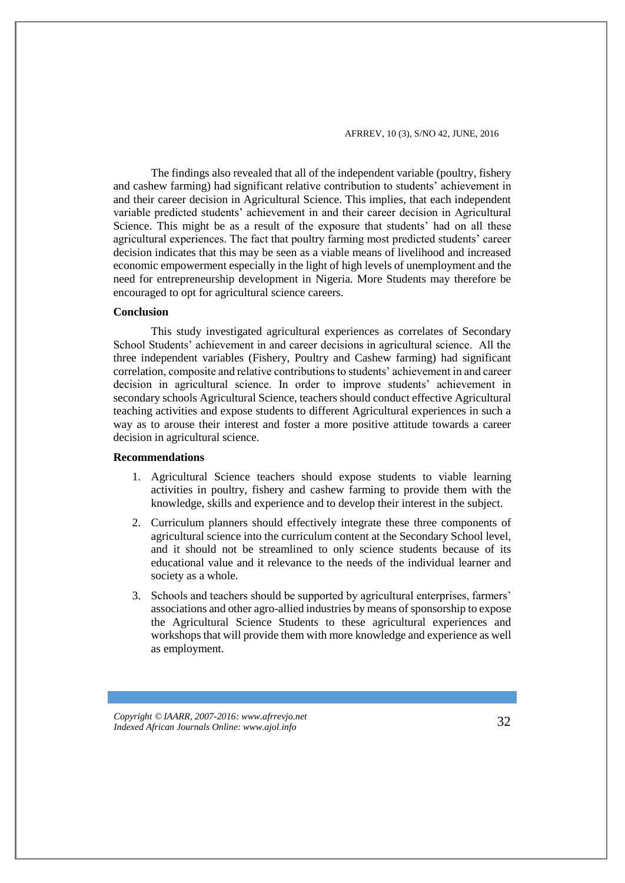The findings also revealed that all of the independent variable (poultry, fishery and cashew farming) had significant relative contribution to students' achievement in and their career decision in Agricultural Science. This implies, that each independent variable predicted students' achievement in and their career decision in Agricultural Science. This might be as a result of the exposure that students' had on all these agricultural experiences. The fact that poultry farming most predicted students' career decision indicates that this may be seen as a viable means of livelihood and increased economic empowerment especially in the light of high levels of unemployment and the need for entrepreneurship development in Nigeria. More Students may therefore be encouraged to opt for agricultural science careers.

# **Conclusion**

This study investigated agricultural experiences as correlates of Secondary School Students' achievement in and career decisions in agricultural science. All the three independent variables (Fishery, Poultry and Cashew farming) had significant correlation, composite and relative contributions to students' achievement in and career decision in agricultural science. In order to improve students' achievement in secondary schools Agricultural Science, teachers should conduct effective Agricultural teaching activities and expose students to different Agricultural experiences in such a way as to arouse their interest and foster a more positive attitude towards a career decision in agricultural science.

# **Recommendations**

- 1. Agricultural Science teachers should expose students to viable learning activities in poultry, fishery and cashew farming to provide them with the knowledge, skills and experience and to develop their interest in the subject.
- 2. Curriculum planners should effectively integrate these three components of agricultural science into the curriculum content at the Secondary School level, and it should not be streamlined to only science students because of its educational value and it relevance to the needs of the individual learner and society as a whole.
- 3. Schools and teachers should be supported by agricultural enterprises, farmers' associations and other agro-allied industries by means of sponsorship to expose the Agricultural Science Students to these agricultural experiences and workshops that will provide them with more knowledge and experience as well as employment.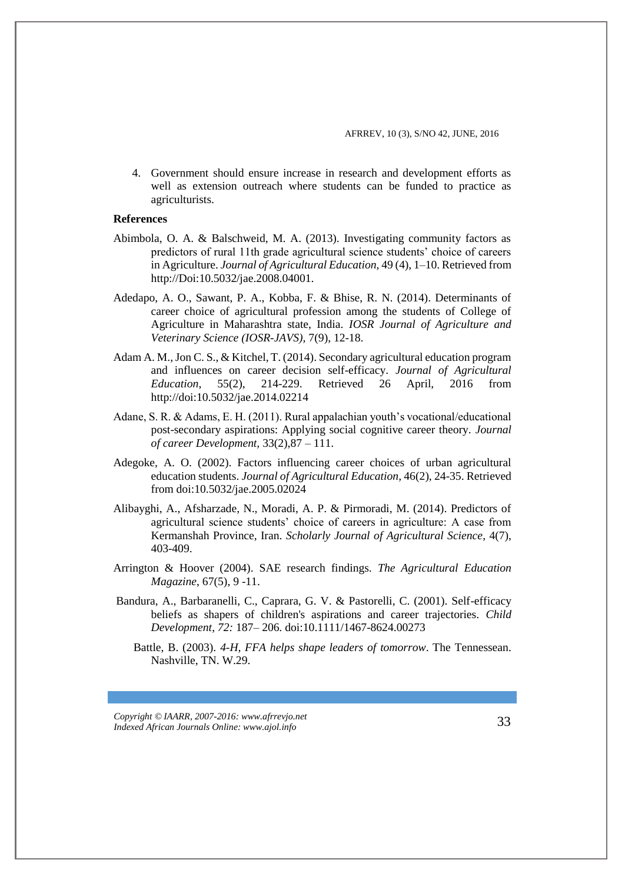4. Government should ensure increase in research and development efforts as well as extension outreach where students can be funded to practice as agriculturists.

# **References**

- Abimbola, O. A. & Balschweid, M. A. (2013). Investigating community factors as predictors of rural 11th grade agricultural science students' choice of careers in Agriculture. *Journal of Agricultural Education,* 49 (4), 1–10. Retrieved from http://Doi:10.5032/jae.2008.04001.
- Adedapo, A. O., Sawant, P. A., Kobba, F. & Bhise, R. N. (2014). Determinants of career choice of agricultural profession among the students of College of Agriculture in Maharashtra state, India. *IOSR Journal of Agriculture and Veterinary Science (IOSR-JAVS),* 7(9), 12-18.
- Adam A. M., Jon C. S., & Kitchel, T. (2014). Secondary agricultural education program and influences on career decision self-efficacy. *Journal of Agricultural Education*, 55(2), 214-229. Retrieved 26 April, 2016 from http://doi:10.5032/jae.2014.02214
- Adane, S. R. & Adams, E. H. (2011). Rural appalachian youth's vocational/educational post-secondary aspirations: Applying social cognitive career theory. *Journal of career Development,* 33(2),87 – 111.
- Adegoke, A. O. (2002). Factors influencing career choices of urban agricultural education students. *Journal of Agricultural Education,* 46(2), 24-35. Retrieved from doi:10.5032/jae.2005.02024
- Alibayghi, A., Afsharzade, N., Moradi, A. P. & Pirmoradi, M. (2014). Predictors of agricultural science students' choice of careers in agriculture: A case from Kermanshah Province, Iran. *Scholarly Journal of Agricultural Science*, 4(7), 403-409.
- Arrington & Hoover (2004). SAE research findings. *The Agricultural Education Magazine*, 67(5), 9 -11.
- Bandura, A., Barbaranelli, C., Caprara, G. V. & Pastorelli, C. (2001). Self-efficacy beliefs as shapers of children's aspirations and career trajectories. *Child Development, 72:* 187– 206. doi:10.1111/1467-8624.00273
	- Battle, B. (2003). *4-H, FFA helps shape leaders of tomorrow*. The Tennessean. Nashville, TN. W.29.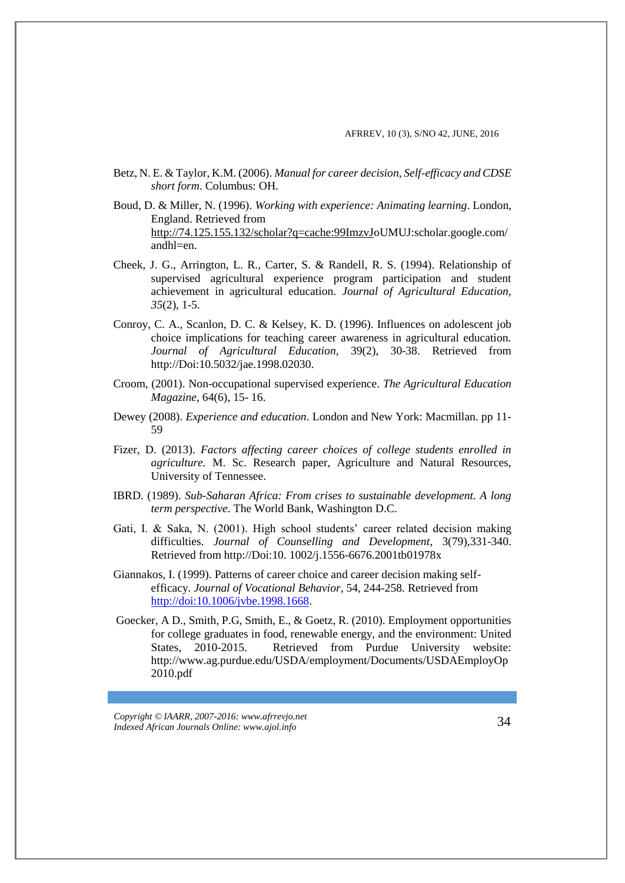- Betz, N. E. & Taylor, K.M. (2006). *Manual for career decision, Self-efficacy and CDSE short form*. Columbus: OH.
- Boud, D. & Miller, N. (1996). *Working with experience: Animating learning*. London, England. Retrieved from [http://74.125.155.132/scholar?q=cache:99ImzvJo](http://74.125.155.132/scholar?q=cache:99ImzvJ)UMUJ:scholar.google.com/ andhl=en.
- Cheek, J. G., Arrington, L. R., Carter, S. & Randell, R. S. (1994). Relationship of supervised agricultural experience program participation and student achievement in agricultural education. *Journal of Agricultural Education, 35*(2), 1-5.
- Conroy, C. A., Scanlon, D. C. & Kelsey, K. D. (1996). Influences on adolescent job choice implications for teaching career awareness in agricultural education. *Journal of Agricultural Education,* 39(2), 30-38. Retrieved from http://Doi:10.5032/jae.1998.02030.
- Croom, (2001). Non-occupational supervised experience. *The Agricultural Education Magazine,* 64(6), 15- 16.
- Dewey (2008). *Experience and education*. London and New York: Macmillan. pp 11- 59
- Fizer, D. (2013). *Factors affecting career choices of college students enrolled in agriculture.* M. Sc. Research paper, Agriculture and Natural Resources, University of Tennessee.
- IBRD. (1989). *Sub-Saharan Africa: From crises to sustainable development. A long term perspective*. The World Bank, Washington D.C.
- Gati, I. & Saka, N. (2001). High school students' career related decision making difficulties. *Journal of Counselling and Development*, 3(79),331-340. Retrieved from http://Doi:10. 1002/j.1556-6676.2001tb01978x
- Giannakos, I. (1999). Patterns of career choice and career decision making selfefficacy*. Journal of Vocational Behavior,* 54, 244-258. Retrieved from [http://doi:10.1006/jvbe.1998.1668.](http://doi:10.1006/jvbe.1998.1668)
- Goecker, A D., Smith, P.G, Smith, E., & Goetz, R. (2010). Employment opportunities for college graduates in food, renewable energy, and the environment: United States, 2010-2015. Retrieved from Purdue University website: http://www.ag.purdue.edu/USDA/employment/Documents/USDAEmployOp 2010.pdf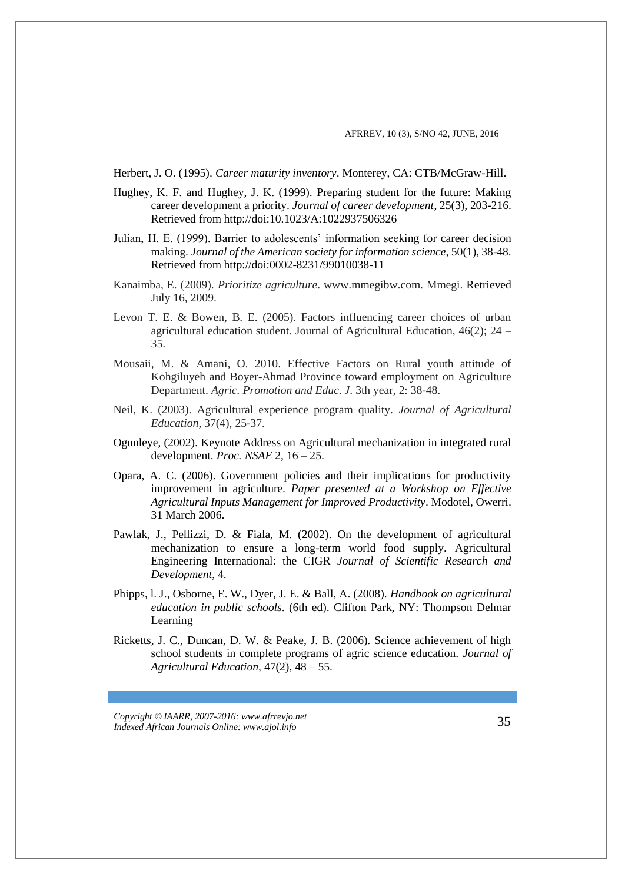Herbert, J. O. (1995). *Career maturity inventory*. Monterey, CA: CTB/McGraw-Hill.

- Hughey, K. F. and Hughey, J. K. (1999). Preparing student for the future: Making career development a priority. *Journal of career development*, 25(3), 203-216. Retrieved from http://doi:10.1023/A:1022937506326
- Julian, H. E. (1999). Barrier to adolescents' information seeking for career decision making. *Journal of the American society for information science,* 50(1), 38-48. Retrieved from http://doi:0002-8231/99010038-11
- Kanaimba, E. (2009). *Prioritize agriculture*. www.mmegibw.com. Mmegi. Retrieved July 16, 2009.
- Levon T. E. & Bowen, B. E. (2005). Factors influencing career choices of urban agricultural education student. Journal of Agricultural Education, 46(2); 24 – 35.
- Mousaii, M. & Amani, O. 2010. Effective Factors on Rural youth attitude of Kohgiluyeh and Boyer-Ahmad Province toward employment on Agriculture Department. *Agric. Promotion and Educ. J*. 3th year, 2: 38-48.
- Neil, K. (2003). Agricultural experience program quality. *Journal of Agricultural Education*, 37(4), 25-37.
- Ogunleye, (2002). Keynote Address on Agricultural mechanization in integrated rural development. *Proc. NSAE* 2, 16 – 25.
- Opara, A. C. (2006). Government policies and their implications for productivity improvement in agriculture. *Paper presented at a Workshop on Effective Agricultural Inputs Management for Improved Productivity*. Modotel, Owerri. 31 March 2006.
- Pawlak, J., Pellizzi, D. & Fiala, M. (2002). On the development of agricultural mechanization to ensure a long-term world food supply. Agricultural Engineering International: the CIGR *Journal of Scientific Research and Development*, 4.
- Phipps, l. J., Osborne, E. W., Dyer, J. E. & Ball, A. (2008). *Handbook on agricultural education in public schools*. (6th ed). Clifton Park, NY: Thompson Delmar Learning
- Ricketts, J. C., Duncan, D. W. & Peake, J. B. (2006). Science achievement of high school students in complete programs of agric science education. *Journal of Agricultural Education,* 47(2), 48 – 55.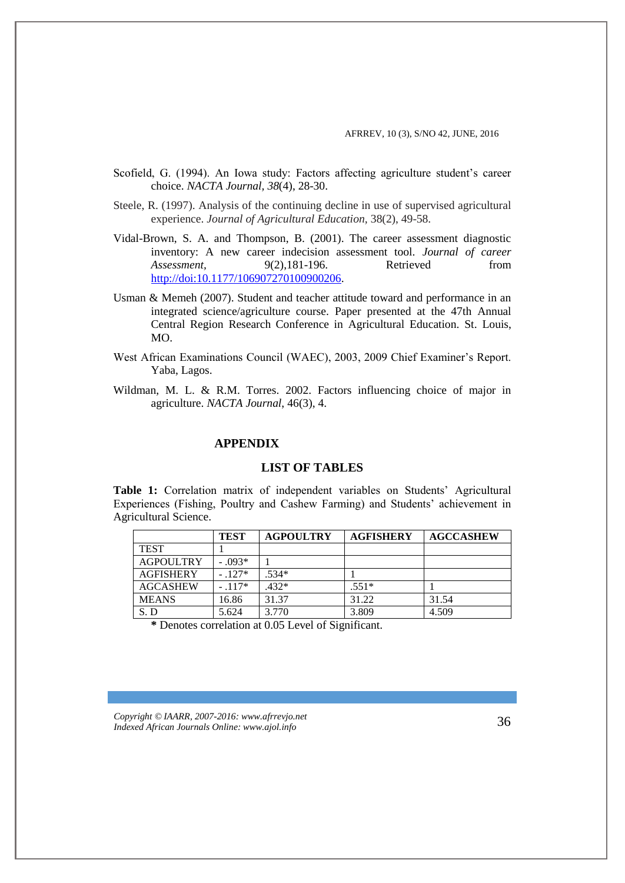- Scofield, G. (1994). An Iowa study: Factors affecting agriculture student's career choice. *NACTA Journal, 38*(4), 28-30.
- Steele, R. (1997). Analysis of the continuing decline in use of supervised agricultural experience. *Journal of Agricultural Education,* 38(2), 49-58.
- Vidal-Brown, S. A. and Thompson, B. (2001). The career assessment diagnostic inventory: A new career indecision assessment tool. *Journal of career Assessment.* 9(2), 181-196. Retrieved from [http://doi:10.1177/106907270100900206.](http://doi:10.1177/106907270100900206)
- Usman & Memeh (2007). Student and teacher attitude toward and performance in an integrated science/agriculture course. Paper presented at the 47th Annual Central Region Research Conference in Agricultural Education. St. Louis, MO.
- West African Examinations Council (WAEC), 2003, 2009 Chief Examiner's Report. Yaba, Lagos.
- Wildman, M. L. & R.M. Torres. 2002. Factors influencing choice of major in agriculture. *NACTA Journal*, 46(3), 4.

# **APPENDIX**

# **LIST OF TABLES**

**Table 1:** Correlation matrix of independent variables on Students' Agricultural Experiences (Fishing, Poultry and Cashew Farming) and Students' achievement in Agricultural Science.

|                  | <b>TEST</b> | <b>AGPOULTRY</b> | <b>AGFISHERY</b> | <b>AGCCASHEW</b> |
|------------------|-------------|------------------|------------------|------------------|
| <b>TEST</b>      |             |                  |                  |                  |
| <b>AGPOULTRY</b> | $-.093*$    |                  |                  |                  |
| <b>AGFISHERY</b> | $-.127*$    | $.534*$          |                  |                  |
| <b>AGCASHEW</b>  | $-.117*$    | $.432*$          | $.551*$          |                  |
| <b>MEANS</b>     | 16.86       | 31.37            | 31.22            | 31.54            |
| S.D              | 5.624       | 3.770            | 3.809            | 4.509            |

**\*** Denotes correlation at 0.05 Level of Significant.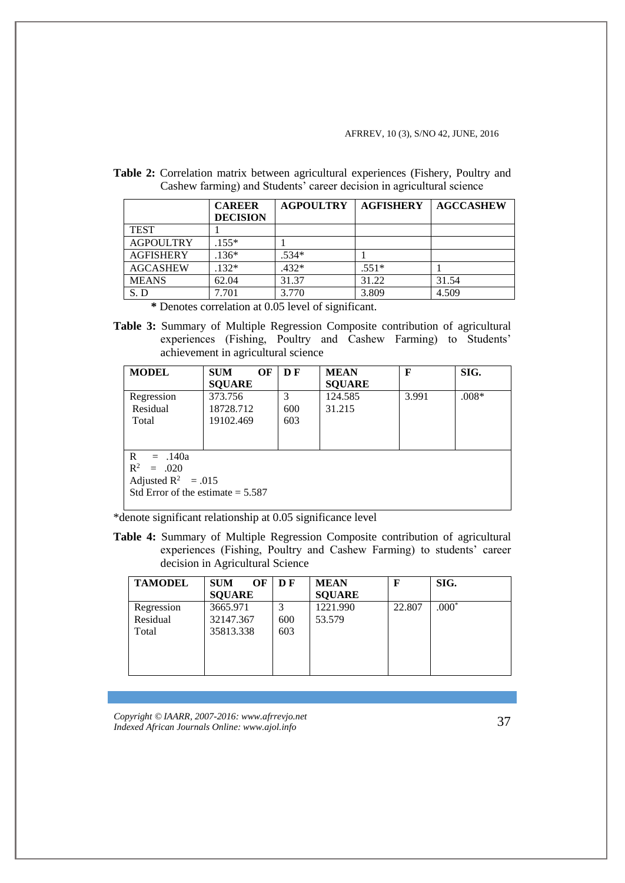|                  | <b>CAREER</b><br><b>DECISION</b> | <b>AGPOULTRY</b> | <b>AGFISHERY</b> | <b>AGCCASHEW</b> |
|------------------|----------------------------------|------------------|------------------|------------------|
| <b>TEST</b>      |                                  |                  |                  |                  |
| <b>AGPOULTRY</b> | $.155*$                          |                  |                  |                  |
| <b>AGFISHERY</b> | $.136*$                          | .534*            |                  |                  |
| <b>AGCASHEW</b>  | $132*$                           | $.432*$          | $.551*$          |                  |
| <b>MEANS</b>     | 62.04                            | 31.37            | 31.22            | 31.54            |
| S. D             | 7.701                            | 3.770            | 3.809            | 4.509            |

**Table 2:** Correlation matrix between agricultural experiences (Fishery, Poultry and Cashew farming) and Students' career decision in agricultural science

**\*** Denotes correlation at 0.05 level of significant.

**Table 3:** Summary of Multiple Regression Composite contribution of agricultural experiences (Fishing, Poultry and Cashew Farming) to Students' achievement in agricultural science

| <b>MODEL</b>                        | <b>SUM</b><br>OF | D F | <b>MEAN</b>   | F     | SIG.    |  |  |
|-------------------------------------|------------------|-----|---------------|-------|---------|--|--|
|                                     | <b>SQUARE</b>    |     | <b>SQUARE</b> |       |         |  |  |
| Regression                          | 373.756          | 3   | 124.585       | 3.991 | $.008*$ |  |  |
| Residual                            | 18728.712        | 600 | 31.215        |       |         |  |  |
| Total                               | 19102.469        | 603 |               |       |         |  |  |
|                                     |                  |     |               |       |         |  |  |
|                                     |                  |     |               |       |         |  |  |
| $R = .140a$                         |                  |     |               |       |         |  |  |
| $R^2 = .020$                        |                  |     |               |       |         |  |  |
| Adjusted $R^2$ = .015               |                  |     |               |       |         |  |  |
| Std Error of the estimate $= 5.587$ |                  |     |               |       |         |  |  |
|                                     |                  |     |               |       |         |  |  |

\*denote significant relationship at 0.05 significance level

**Table 4:** Summary of Multiple Regression Composite contribution of agricultural experiences (Fishing, Poultry and Cashew Farming) to students' career decision in Agricultural Science

| <b>TAMODEL</b> | <b>SUM</b><br>OF<br><b>SQUARE</b> | D F | <b>MEAN</b><br><b>SOUARE</b> | F      | SIG.        |
|----------------|-----------------------------------|-----|------------------------------|--------|-------------|
| Regression     | 3665.971                          | 3   | 1221.990                     | 22.807 | $.000^\ast$ |
| Residual       | 32147.367                         | 600 | 53.579                       |        |             |
| Total          | 35813.338                         | 603 |                              |        |             |
|                |                                   |     |                              |        |             |
|                |                                   |     |                              |        |             |
|                |                                   |     |                              |        |             |